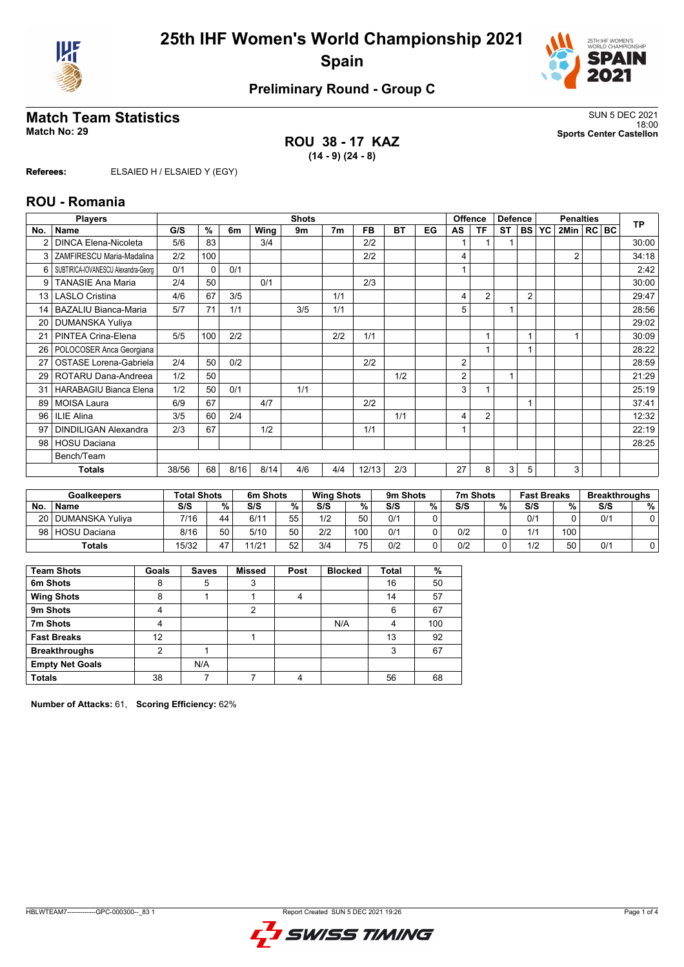



# **Preliminary Round - Group C**

## **Match Team Statistics** SUN 5 DEC 2021

**ROU 38 - 17 KAZ (14 - 9) (24 - 8)**

18:00 **Match No: 29 Sports Center Castellon**

**Referees:** ELSAIED H / ELSAIED Y (EGY)

#### **ROU - Romania**

|     | <b>Players</b>                      |       | <b>Shots</b> |      |      |     |                |       |           |    | Offence<br><b>Defence</b> |                |           | <b>Penalties</b> |           |                |  | <b>TP</b> |       |
|-----|-------------------------------------|-------|--------------|------|------|-----|----------------|-------|-----------|----|---------------------------|----------------|-----------|------------------|-----------|----------------|--|-----------|-------|
| No. | <b>Name</b>                         | G/S   | %            | 6m   | Wing | 9m  | 7 <sub>m</sub> | FB    | <b>BT</b> | EG | AS                        | ΤF             | <b>ST</b> | <b>BS</b>        | <b>YC</b> | 2Min   RC   BC |  |           |       |
|     | <b>DINCA Elena-Nicoleta</b>         | 5/6   | 83           |      | 3/4  |     |                | 2/2   |           |    |                           |                |           |                  |           |                |  |           | 30:00 |
| 3   | ZAMFIRESCU Maria-Madalina           | 2/2   | 100          |      |      |     |                | 2/2   |           |    | 4                         |                |           |                  |           | $\overline{2}$ |  |           | 34:18 |
| 6   | SUBTIRICA-IOVANESCU Alexandra-Georg | 0/1   | $\Omega$     | 0/1  |      |     |                |       |           |    |                           |                |           |                  |           |                |  |           | 2:42  |
| 9   | <b>TANASIE Ana Maria</b>            | 2/4   | 50           |      | 0/1  |     |                | 2/3   |           |    |                           |                |           |                  |           |                |  |           | 30:00 |
| 13  | <b>LASLO Cristina</b>               | 4/6   | 67           | 3/5  |      |     | 1/1            |       |           |    | 4                         | $\overline{2}$ |           | $\overline{2}$   |           |                |  |           | 29:47 |
| 14  | <b>BAZALIU Bianca-Maria</b>         | 5/7   | 71           | 1/1  |      | 3/5 | 1/1            |       |           |    | 5                         |                |           |                  |           |                |  |           | 28:56 |
| 20  | <b>DUMANSKA Yuliya</b>              |       |              |      |      |     |                |       |           |    |                           |                |           |                  |           |                |  |           | 29:02 |
| 21  | PINTEA Crina-Elena                  | 5/5   | 100          | 2/2  |      |     | 2/2            | 1/1   |           |    |                           |                |           |                  |           |                |  |           | 30:09 |
| 26  | POLOCOSER Anca Georgiana            |       |              |      |      |     |                |       |           |    |                           |                |           |                  |           |                |  |           | 28:22 |
| 27  | <b>OSTASE Lorena-Gabriela</b>       | 2/4   | 50           | 0/2  |      |     |                | 2/2   |           |    | 2                         |                |           |                  |           |                |  |           | 28:59 |
| 29  | ROTARU Dana-Andreea                 | 1/2   | 50           |      |      |     |                |       | 1/2       |    | 2                         |                | 1         |                  |           |                |  |           | 21:29 |
| 31  | <b>HARABAGIU Bianca Elena</b>       | 1/2   | 50           | 0/1  |      | 1/1 |                |       |           |    | 3                         |                |           |                  |           |                |  |           | 25:19 |
| 89  | <b>MOISA Laura</b>                  | 6/9   | 67           |      | 4/7  |     |                | 2/2   |           |    |                           |                |           |                  |           |                |  |           | 37:41 |
| 96  | <b>ILIE Alina</b>                   | 3/5   | 60           | 2/4  |      |     |                |       | 1/1       |    | 4                         | $\overline{2}$ |           |                  |           |                |  |           | 12:32 |
| 97  | <b>DINDILIGAN Alexandra</b>         | 2/3   | 67           |      | 1/2  |     |                | 1/1   |           |    |                           |                |           |                  |           |                |  |           | 22:19 |
| 98  | <b>HOSU Daciana</b>                 |       |              |      |      |     |                |       |           |    |                           |                |           |                  |           |                |  |           | 28:25 |
|     | Bench/Team                          |       |              |      |      |     |                |       |           |    |                           |                |           |                  |           |                |  |           |       |
|     | Totals                              | 38/56 | 68           | 8/16 | 8/14 | 4/6 | 4/4            | 12/13 | 2/3       |    | 27                        | 8              | 3         | 5                |           | 3              |  |           |       |

|           | <b>Total Shots</b><br><b>Goalkeepers</b> |       |        | 6m Shots |    | <b>Wing Shots</b> |     | 9m Shots |   | 7m Shots |   | <b>Fast Breaks</b> |                  | <b>Breakthroughs</b> |   |  |
|-----------|------------------------------------------|-------|--------|----------|----|-------------------|-----|----------|---|----------|---|--------------------|------------------|----------------------|---|--|
| <b>No</b> | <b>Name</b>                              | S/S   | $\%$ . | S/S      | %  | S/S               | %   | S/S      | % | S/S      | % | S/S                | %                | S/S                  | % |  |
|           | 20   DUMANSKA Yuliva                     | 7/16  | 44     | 6/11     | 55 | 1/2               | 50  | 0/1      |   |          |   | 0/1                |                  | 0/1                  |   |  |
|           | 98 HOSU Daciana                          | 8/16  | 50     | 5/10     | 50 | 2/2               | 100 | 0/1      |   | 0/2      |   | 1/1                | 100 <sub>1</sub> |                      |   |  |
|           | <b>Totals</b>                            | 15/32 | 17     | 11/21    | 52 | 3/4               | 75  | 0/2      |   | 0/2      |   | 1/2                | 50               | 0/1                  |   |  |

| <b>Team Shots</b>      | Goals | <b>Saves</b> | <b>Missed</b> | Post | <b>Blocked</b> | Total | %   |
|------------------------|-------|--------------|---------------|------|----------------|-------|-----|
| 6m Shots               | 8     | 5            | ົ<br>د        |      |                | 16    | 50  |
| <b>Wing Shots</b>      | 8     |              |               | 4    |                | 14    | 57  |
| 9m Shots               | 4     |              | 2             |      |                | 6     | 67  |
| 7m Shots               | 4     |              |               |      | N/A            | 4     | 100 |
| <b>Fast Breaks</b>     | 12    |              |               |      |                | 13    | 92  |
| <b>Breakthroughs</b>   | າ     |              |               |      |                | 3     | 67  |
| <b>Empty Net Goals</b> |       | N/A          |               |      |                |       |     |
| <b>Totals</b>          | 38    |              |               | 4    |                | 56    | 68  |

**Number of Attacks:** 61, **Scoring Efficiency:** 62%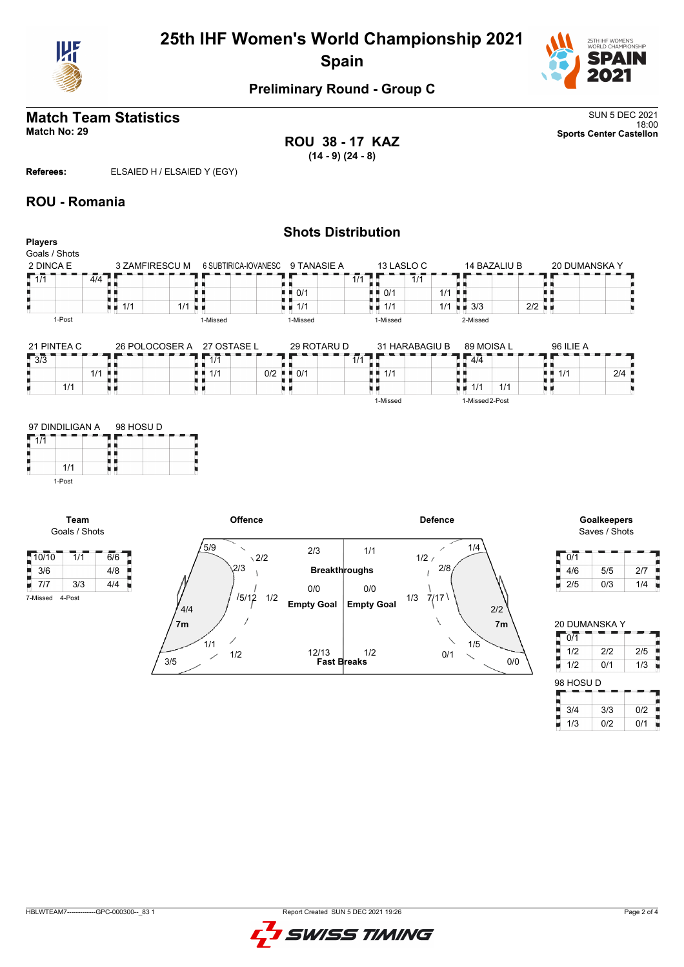

# **25th IHF Women's World Championship 2021 Spain**



#### **Preliminary Round - Group C**

# **Match Team Statistics** SUN 5 DEC 2021

**ROU 38 - 17 KAZ (14 - 9) (24 - 8)**

18:00 **Match No: 29 Sports Center Castellon**

**Referees:** ELSAIED H / ELSAIED Y (EGY)

#### **ROU - Romania**

1/1 1-Post

**Team** Goals / Shots

7-Missed 4-Post

| <b>Players</b>        |        |                  |                    |     |                                          |                                                 |                                   | <b>Shots Distribution</b> |                  |       |          |                |     |                                |              |     |                                                        |               |     |
|-----------------------|--------|------------------|--------------------|-----|------------------------------------------|-------------------------------------------------|-----------------------------------|---------------------------|------------------|-------|----------|----------------|-----|--------------------------------|--------------|-----|--------------------------------------------------------|---------------|-----|
| Goals / Shots         |        |                  |                    |     |                                          |                                                 |                                   |                           |                  |       |          |                |     |                                |              |     |                                                        |               |     |
| 2 DINCA E             |        |                  |                    |     |                                          | 3 ZAMFIRESCU M 6 SUBTIRICA-IOVANESC 9 TANASIE A |                                   |                           |                  |       |          | 13 LASLO C     |     |                                | 14 BAZALIU B |     |                                                        | 20 DUMANSKA Y |     |
| $\sqrt{1/1}$          |        | $\overline{4/4}$ |                    |     |                                          |                                                 |                                   |                           | $\overline{1/1}$ |       |          | 1/1            |     |                                |              |     |                                                        |               |     |
|                       |        |                  |                    |     |                                          |                                                 |                                   | 0/1                       |                  | нτ    | 0/1      |                | 1/1 |                                |              |     |                                                        |               |     |
|                       |        |                  | $\blacksquare$ 1/1 | 1/1 | .                                        |                                                 |                                   | $\blacksquare$ 1/1        |                  | н. н. | 1/1      |                | 1/1 | $\blacksquare$ 3/3             |              | 2/2 |                                                        |               |     |
|                       | 1-Post |                  |                    |     | 1-Missed                                 |                                                 |                                   | 1-Missed                  |                  |       | 1-Missed |                |     | 2-Missed                       |              |     |                                                        |               |     |
| 21 PINTEA C<br>$-3/3$ | 1/1    | 1/1              | H H<br>M 16        | ш   | 26 POLOCOSER A 27 OSTASE L<br>1/1<br>1/1 |                                                 | $0/2$ $\blacksquare$ $0/1$<br>. . | 29 ROTARU D               | $\overline{1/1}$ | D     | 1/1      | 31 HARABAGIU B |     | 89 MOISA L<br>4/4<br>1/1<br>电电 | 1/1          |     | 96 ILIE A<br>$\blacksquare$ $\blacksquare$ 1/1<br>U 11 |               | 2/4 |
| 97 DINDILIGAN A       |        |                  | 98 HOSU D          |     |                                          |                                                 |                                   |                           |                  |       | 1-Missed |                |     | 1-Missed 2-Post                |              |     |                                                        |               |     |
| $\sqrt{1/1}$          | 1/1    |                  | uπ                 |     |                                          |                                                 |                                   |                           |                  |       |          |                |     |                                |              |     |                                                        |               |     |





| 0/1 |     |     |
|-----|-----|-----|
| 4/6 | 5/5 | 2/7 |
| 2/5 | 0/3 | 1/4 |

| <b>20 DUMANSKA Y</b> |     |     |
|----------------------|-----|-----|
| 0/1                  |     |     |
| 1/2                  | 2/2 | 2/5 |
| 1/2                  | 0/1 | 1/3 |
|                      |     |     |
| 98 HOSU D            |     |     |
|                      |     |     |
| 3/4                  | 3/3 | 0/2 |

| GPC-000300-<br>83<br><b>HBLWTEAM7</b> | t Created SUN 5 DEC 2021 19:26<br>Report⊹ |
|---------------------------------------|-------------------------------------------|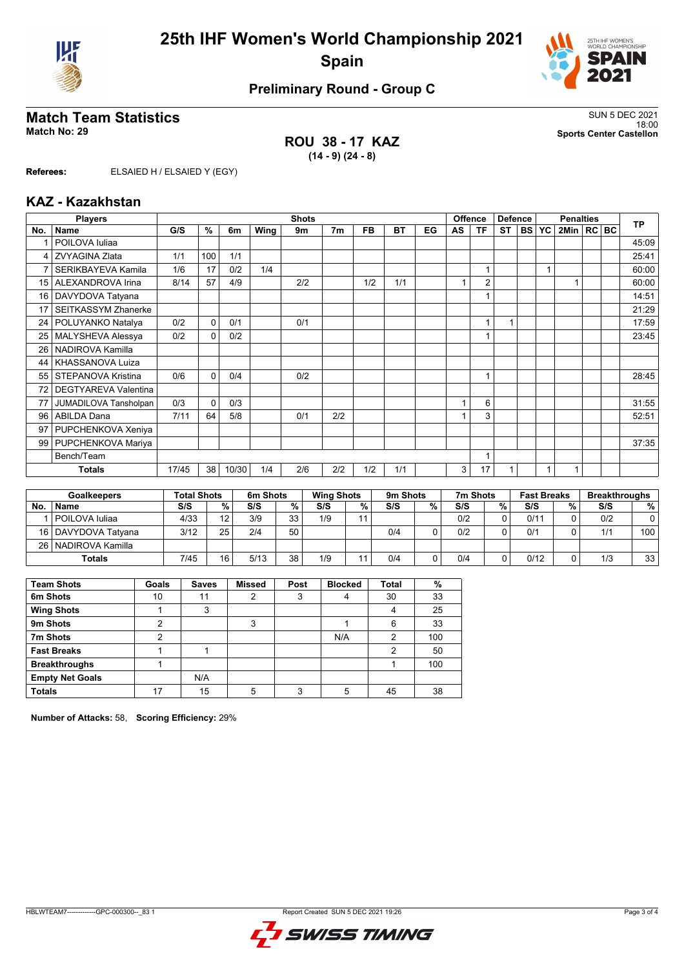



# **Preliminary Round - Group C**

## **Match Team Statistics** SUN 5 DEC 2021

**ROU 38 - 17 KAZ (14 - 9) (24 - 8)**

18:00 **Match No: 29 Sports Center Castellon**

**Referees:** ELSAIED H / ELSAIED Y (EGY)

#### **KAZ - Kazakhstan**

|                 | <b>Players</b>              | <b>Shots</b> |          |       |      |     |                |           |           | <b>Offence</b><br><b>Defence</b> |              |                | <b>Penalties</b> |           |           |              | <b>TP</b> |  |       |
|-----------------|-----------------------------|--------------|----------|-------|------|-----|----------------|-----------|-----------|----------------------------------|--------------|----------------|------------------|-----------|-----------|--------------|-----------|--|-------|
| No.             | <b>Name</b>                 | G/S          | %        | 6m    | Wing | 9m  | 7 <sub>m</sub> | <b>FB</b> | <b>BT</b> | EG                               | AS           | TF             | <b>ST</b>        | <b>BS</b> | <b>YC</b> | 2Min   RC BC |           |  |       |
|                 | POILOVA Iuliaa              |              |          |       |      |     |                |           |           |                                  |              |                |                  |           |           |              |           |  | 45:09 |
| 4               | <b>ZVYAGINA Zlata</b>       | 1/1          | 100      | 1/1   |      |     |                |           |           |                                  |              |                |                  |           |           |              |           |  | 25:41 |
| 7               | SERIKBAYEVA Kamila          | 1/6          | 17       | 0/2   | 1/4  |     |                |           |           |                                  |              |                |                  |           |           |              |           |  | 60:00 |
| 15              | ALEXANDROVA Irina           | 8/14         | 57       | 4/9   |      | 2/2 |                | 1/2       | 1/1       |                                  | $\mathbf{1}$ | $\overline{2}$ |                  |           |           |              |           |  | 60:00 |
| 16              | DAVYDOVA Tatyana            |              |          |       |      |     |                |           |           |                                  |              | 1              |                  |           |           |              |           |  | 14:51 |
| 17              | <b>SEITKASSYM Zhanerke</b>  |              |          |       |      |     |                |           |           |                                  |              |                |                  |           |           |              |           |  | 21:29 |
| 24 <sup>1</sup> | POLUYANKO Natalya           | 0/2          | 0        | 0/1   |      | 0/1 |                |           |           |                                  |              | 1              |                  |           |           |              |           |  | 17:59 |
| 25              | MALYSHEVA Alessya           | 0/2          | $\Omega$ | 0/2   |      |     |                |           |           |                                  |              |                |                  |           |           |              |           |  | 23:45 |
| 26              | NADIROVA Kamilla            |              |          |       |      |     |                |           |           |                                  |              |                |                  |           |           |              |           |  |       |
| 44              | KHASSANOVA Luiza            |              |          |       |      |     |                |           |           |                                  |              |                |                  |           |           |              |           |  |       |
| 55              | STEPANOVA Kristina          | 0/6          | $\Omega$ | 0/4   |      | 0/2 |                |           |           |                                  |              | 1              |                  |           |           |              |           |  | 28:45 |
| 72              | <b>DEGTYAREVA Valentina</b> |              |          |       |      |     |                |           |           |                                  |              |                |                  |           |           |              |           |  |       |
| 77              | JUMADILOVA Tansholpan       | 0/3          | $\Omega$ | 0/3   |      |     |                |           |           |                                  |              | 6              |                  |           |           |              |           |  | 31:55 |
| 96              | <b>ABILDA Dana</b>          | 7/11         | 64       | 5/8   |      | 0/1 | 2/2            |           |           |                                  |              | 3              |                  |           |           |              |           |  | 52:51 |
| 97              | PUPCHENKOVA Xeniya          |              |          |       |      |     |                |           |           |                                  |              |                |                  |           |           |              |           |  |       |
| 99              | PUPCHENKOVA Mariya          |              |          |       |      |     |                |           |           |                                  |              |                |                  |           |           |              |           |  | 37:35 |
|                 | Bench/Team                  |              |          |       |      |     |                |           | 1         |                                  |              |                |                  |           |           |              |           |  |       |
|                 | <b>Totals</b>               | 17/45        | 38       | 10/30 | 1/4  | 2/6 | 2/2            | 1/2       | 1/1       |                                  | 3            | 17             |                  |           |           |              |           |  |       |

|           | <b>Goalkeepers</b>    | <b>Total Shots</b> |                 | 6m Shots |    | <b>Wing Shots</b> |    | 9m Shots |   | 7m Shots |   | <b>Fast Breaks</b> |   | <b>Breakthroughs</b> |     |
|-----------|-----------------------|--------------------|-----------------|----------|----|-------------------|----|----------|---|----------|---|--------------------|---|----------------------|-----|
| <b>No</b> | Name                  | S/S                | %               | S/S      | %  | S/S               | %  | S/S      | % | S/S      | % | S/S                | % | S/S                  | %   |
|           | POILOVA Iuliaa        | 4/33               | 12              | 3/9      | 33 | 1/9               | 11 |          |   | 0/2      |   | 0/11               |   | 0/2                  | 0   |
|           | 16   DAVYDOVA Tatvana | 3/12               | 25              | 2/4      | 50 |                   |    | 0/4      |   | 0/2      |   | 0/1                |   | 1/1                  | 100 |
|           | 26   NADIROVA Kamilla |                    |                 |          |    |                   |    |          |   |          |   |                    |   |                      |     |
|           | <b>Totals</b>         | 7/45               | 16 <sub>1</sub> | 5/13     | 38 | 1/9               |    | 0/4      |   | 0/4      |   | 0/12               |   | 1/3                  | 33  |

| <b>Team Shots</b>      | Goals | <b>Saves</b> | <b>Missed</b> | Post | <b>Blocked</b> | <b>Total</b> | %   |
|------------------------|-------|--------------|---------------|------|----------------|--------------|-----|
| 6m Shots               | 10    | 11           | 2             | 3    |                | 30           | 33  |
| <b>Wing Shots</b>      |       | 3            |               |      |                | 4            | 25  |
| 9m Shots               | 2     |              | 3             |      |                | 6            | 33  |
| 7m Shots               | 2     |              |               |      | N/A            | 2            | 100 |
| <b>Fast Breaks</b>     |       |              |               |      |                | 2            | 50  |
| <b>Breakthroughs</b>   |       |              |               |      |                |              | 100 |
| <b>Empty Net Goals</b> |       | N/A          |               |      |                |              |     |
| <b>Totals</b>          | 17    | 15           | 5             | ີ    | 5              | 45           | 38  |

**Number of Attacks:** 58, **Scoring Efficiency:** 29%